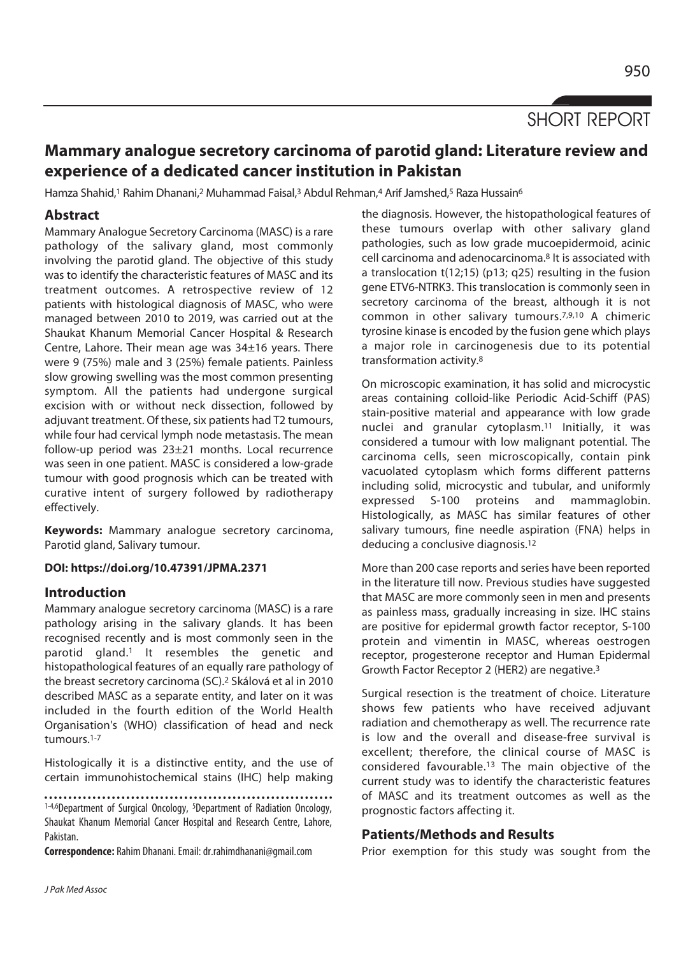# SHORT REPORT

## **Mammary analogue secretory carcinoma of parotid gland: Literature review and experience of a dedicated cancer institution in Pakistan**

Hamza Shahid,<sup>1</sup> Rahim Dhanani,<sup>2</sup> Muhammad Faisal,<sup>3</sup> Abdul Rehman,4 Arif Jamshed,<sup>5</sup> Raza Hussain<sup>6</sup>

### **Abstract**

Mammary Analogue Secretory Carcinoma (MASC) is a rare pathology of the salivary gland, most commonly involving the parotid gland. The objective of this study was to identify the characteristic features of MASC and its treatment outcomes. A retrospective review of 12 patients with histological diagnosis of MASC, who were managed between 2010 to 2019, was carried out at the Shaukat Khanum Memorial Cancer Hospital & Research Centre, Lahore. Their mean age was 34±16 years. There were 9 (75%) male and 3 (25%) female patients. Painless slow growing swelling was the most common presenting symptom. All the patients had undergone surgical excision with or without neck dissection, followed by adjuvant treatment. Of these, six patients had T2 tumours, while four had cervical lymph node metastasis. The mean follow-up period was 23±21 months. Local recurrence was seen in one patient. MASC is considered a low-grade tumour with good prognosis which can be treated with curative intent of surgery followed by radiotherapy effectively.

**Keywords:** Mammary analogue secretory carcinoma, Parotid gland, Salivary tumour.

#### **DOI: https://doi.org/10.47391/JPMA.2371**

#### **Introduction**

Mammary analogue secretory carcinoma (MASC) is a rare pathology arising in the salivary glands. It has been recognised recently and is most commonly seen in the parotid gland.1 It resembles the genetic and histopathological features of an equally rare pathology of the breast secretory carcinoma (SC).2 Skálová et al in 2010 described MASC as a separate entity, and later on it was included in the fourth edition of the World Health Organisation's (WHO) classification of head and neck tumours.1-7

Histologically it is a distinctive entity, and the use of certain immunohistochemical stains (IHC) help making

1-4,6Department of Surgical Oncology, <sup>5</sup>Department of Radiation Oncology, Shaukat Khanum Memorial Cancer Hospital and Research Centre, Lahore, Pakistan.

**Correspondence:** Rahim Dhanani. Email: dr.rahimdhanani@gmail.com

the diagnosis. However, the histopathological features of these tumours overlap with other salivary gland pathologies, such as low grade mucoepidermoid, acinic cell carcinoma and adenocarcinoma.8 It is associated with a translocation t(12;15) (p13; q25) resulting in the fusion gene ETV6-NTRK3. This translocation is commonly seen in secretory carcinoma of the breast, although it is not common in other salivary tumours.7,9,10 A chimeric tyrosine kinase is encoded by the fusion gene which plays a major role in carcinogenesis due to its potential transformation activity.8

On microscopic examination, it has solid and microcystic areas containing colloid-like Periodic Acid-Schiff (PAS) stain-positive material and appearance with low grade nuclei and granular cytoplasm.11 Initially, it was considered a tumour with low malignant potential. The carcinoma cells, seen microscopically, contain pink vacuolated cytoplasm which forms different patterns including solid, microcystic and tubular, and uniformly expressed S-100 proteins and mammaglobin. Histologically, as MASC has similar features of other salivary tumours, fine needle aspiration (FNA) helps in deducing a conclusive diagnosis.12

More than 200 case reports and series have been reported in the literature till now. Previous studies have suggested that MASC are more commonly seen in men and presents as painless mass, gradually increasing in size. IHC stains are positive for epidermal growth factor receptor, S-100 protein and vimentin in MASC, whereas oestrogen receptor, progesterone receptor and Human Epidermal Growth Factor Receptor 2 (HER2) are negative.3

Surgical resection is the treatment of choice. Literature shows few patients who have received adjuvant radiation and chemotherapy as well. The recurrence rate is low and the overall and disease-free survival is excellent; therefore, the clinical course of MASC is considered favourable.13 The main objective of the current study was to identify the characteristic features of MASC and its treatment outcomes as well as the prognostic factors affecting it.

#### **Patients/Methods and Results**

Prior exemption for this study was sought from the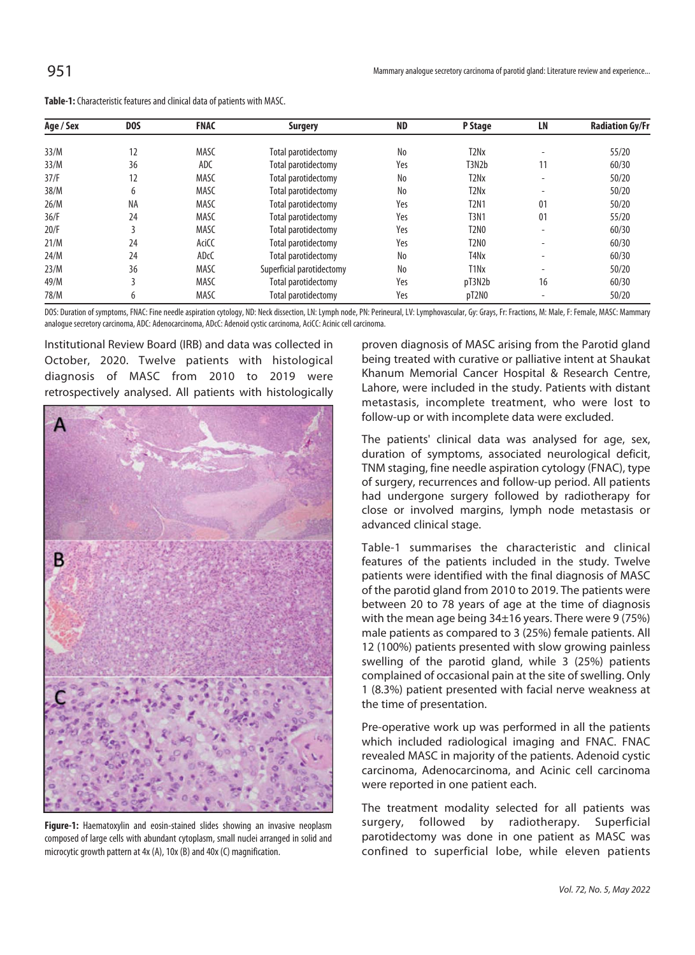| Age / Sex | D <sub>0</sub> S | <b>FNAC</b> | <b>Surgery</b>            | <b>ND</b> | P Stage                       | LN                       | <b>Radiation Gy/Fr</b> |
|-----------|------------------|-------------|---------------------------|-----------|-------------------------------|--------------------------|------------------------|
| 33/M      | 12               | <b>MASC</b> | Total parotidectomy       | No        | T <sub>2</sub> N <sub>x</sub> | $\overline{\phantom{0}}$ | 55/20                  |
| 33/M      | 36               | ADC         | Total parotidectomy       | Yes       | T3N2b                         | 11                       | 60/30                  |
| 37/F      | 12               | <b>MASC</b> | Total parotidectomy       | No        | T2Nx                          | $\overline{\phantom{a}}$ | 50/20                  |
| 38/M      | 6                | <b>MASC</b> | Total parotidectomy       | No        | T <sub>2</sub> N <sub>x</sub> | $\overline{\phantom{0}}$ | 50/20                  |
| 26/M      | NA               | <b>MASC</b> | Total parotidectomy       | Yes       | <b>T2N1</b>                   | 01                       | 50/20                  |
| 36/F      | 24               | <b>MASC</b> | Total parotidectomy       | Yes       | <b>T3N1</b>                   | 01                       | 55/20                  |
| 20/F      |                  | <b>MASC</b> | Total parotidectomy       | Yes       | T2N0                          | $\overline{\phantom{0}}$ | 60/30                  |
| 21/M      | 24               | AciCC       | Total parotidectomy       | Yes       | T2N0                          |                          | 60/30                  |
| 24/M      | 24               | <b>ADcC</b> | Total parotidectomy       | No        | T <sub>4</sub> N <sub>x</sub> | $\overline{\phantom{0}}$ | 60/30                  |
| 23/M      | 36               | <b>MASC</b> | Superficial parotidectomy | No        | T <sub>1</sub> N <sub>x</sub> | $\overline{\phantom{0}}$ | 50/20                  |
| 49/M      | 3                | <b>MASC</b> | Total parotidectomy       | Yes       | pT3N2b                        | 16                       | 60/30                  |
| 78/M      | 6                | <b>MASC</b> | Total parotidectomy       | Yes       | pT2N0                         | $\overline{\phantom{a}}$ | 50/20                  |

**Table-1:** Characteristic features and clinical data of patients with MASC.

DOS: Duration of symptoms, FNAC: Fine needle aspiration cytology, ND: Neck dissection, LN: Lymph node, PN: Perineural, LV: Lymphovascular, Gy: Grays, Fr: Fractions, M: Male, F: Female, MASC: Mammary analogue secretory carcinoma, ADC: Adenocarcinoma, ADcC: Adenoid cystic carcinoma, AciCC: Acinic cell carcinoma.

Institutional Review Board (IRB) and data was collected in October, 2020. Twelve patients with histological diagnosis of MASC from 2010 to 2019 were retrospectively analysed. All patients with histologically



**Figure-1:** Haematoxylin and eosin-stained slides showing an invasive neoplasm composed of large cells with abundant cytoplasm, small nuclei arranged in solid and microcytic growth pattern at 4x (A), 10x (B) and 40x (C) magnification.

proven diagnosis of MASC arising from the Parotid gland being treated with curative or palliative intent at Shaukat Khanum Memorial Cancer Hospital & Research Centre, Lahore, were included in the study. Patients with distant metastasis, incomplete treatment, who were lost to follow-up or with incomplete data were excluded.

The patients' clinical data was analysed for age, sex, duration of symptoms, associated neurological deficit, TNM staging, fine needle aspiration cytology (FNAC), type of surgery, recurrences and follow-up period. All patients had undergone surgery followed by radiotherapy for close or involved margins, lymph node metastasis or advanced clinical stage.

Table-1 summarises the characteristic and clinical features of the patients included in the study. Twelve patients were identified with the final diagnosis of MASC of the parotid gland from 2010 to 2019. The patients were between 20 to 78 years of age at the time of diagnosis with the mean age being 34±16 years. There were 9 (75%) male patients as compared to 3 (25%) female patients. All 12 (100%) patients presented with slow growing painless swelling of the parotid gland, while 3 (25%) patients complained of occasional pain at the site of swelling. Only 1 (8.3%) patient presented with facial nerve weakness at the time of presentation.

Pre-operative work up was performed in all the patients which included radiological imaging and FNAC. FNAC revealed MASC in majority of the patients. Adenoid cystic carcinoma, Adenocarcinoma, and Acinic cell carcinoma were reported in one patient each.

The treatment modality selected for all patients was surgery, followed by radiotherapy. Superficial parotidectomy was done in one patient as MASC was confined to superficial lobe, while eleven patients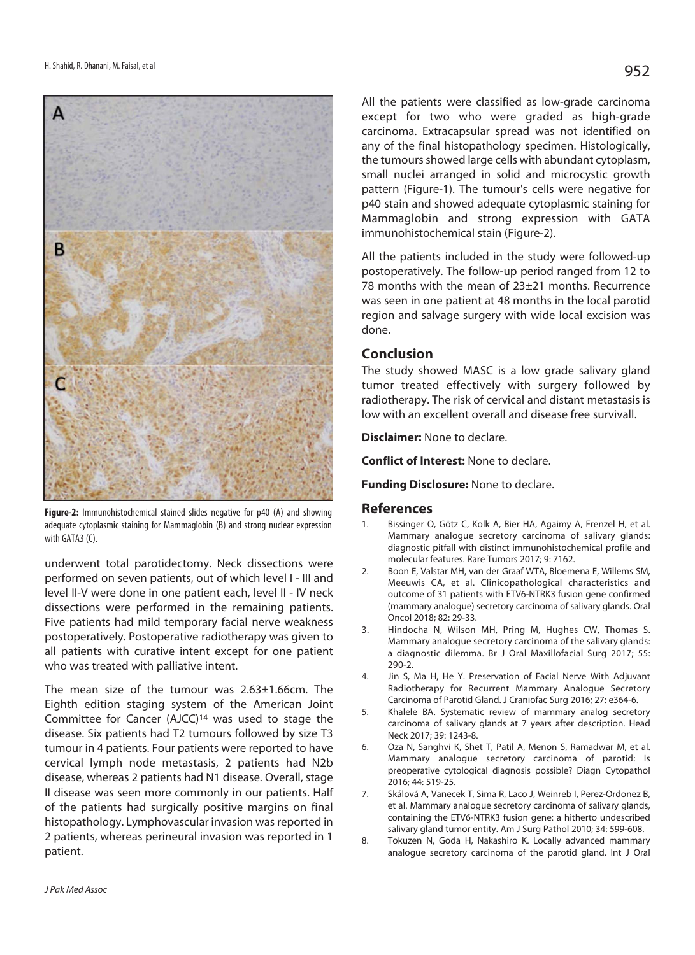

**Figure-2:** Immunohistochemical stained slides negative for p40 (A) and showing adequate cytoplasmic staining for Mammaglobin (B) and strong nuclear expression with GATA3 (C).

underwent total parotidectomy. Neck dissections were performed on seven patients, out of which level I - III and level II-V were done in one patient each, level II - IV neck dissections were performed in the remaining patients. Five patients had mild temporary facial nerve weakness postoperatively. Postoperative radiotherapy was given to all patients with curative intent except for one patient who was treated with palliative intent.

The mean size of the tumour was 2.63±1.66cm. The Eighth edition staging system of the American Joint Committee for Cancer (AJCC)14 was used to stage the disease. Six patients had T2 tumours followed by size T3 tumour in 4 patients. Four patients were reported to have cervical lymph node metastasis, 2 patients had N2b disease, whereas 2 patients had N1 disease. Overall, stage II disease was seen more commonly in our patients. Half of the patients had surgically positive margins on final histopathology. Lymphovascular invasion was reported in 2 patients, whereas perineural invasion was reported in 1 patient.

All the patients were classified as low-grade carcinoma except for two who were graded as high-grade carcinoma. Extracapsular spread was not identified on any of the final histopathology specimen. Histologically, the tumours showed large cells with abundant cytoplasm, small nuclei arranged in solid and microcystic growth pattern (Figure-1). The tumour's cells were negative for p40 stain and showed adequate cytoplasmic staining for Mammaglobin and strong expression with GATA immunohistochemical stain (Figure-2).

All the patients included in the study were followed-up postoperatively. The follow-up period ranged from 12 to 78 months with the mean of 23±21 months. Recurrence was seen in one patient at 48 months in the local parotid region and salvage surgery with wide local excision was done.

#### **Conclusion**

The study showed MASC is a low grade salivary gland tumor treated effectively with surgery followed by radiotherapy. The risk of cervical and distant metastasis is low with an excellent overall and disease free survivall.

**Disclaimer:** None to declare.

**Conflict of Interest:** None to declare.

**Funding Disclosure:** None to declare.

#### **References**

- 1. Bissinger O, Götz C, Kolk A, Bier HA, Agaimy A, Frenzel H, et al. Mammary analogue secretory carcinoma of salivary glands: diagnostic pitfall with distinct immunohistochemical profile and molecular features. Rare Tumors 2017; 9: 7162.
- 2. Boon E, Valstar MH, van der Graaf WTA, Bloemena E, Willems SM, Meeuwis CA, et al. Clinicopathological characteristics and outcome of 31 patients with ETV6-NTRK3 fusion gene confirmed (mammary analogue) secretory carcinoma of salivary glands. Oral Oncol 2018; 82: 29-33.
- 3. Hindocha N, Wilson MH, Pring M, Hughes CW, Thomas S. Mammary analogue secretory carcinoma of the salivary glands: a diagnostic dilemma. Br J Oral Maxillofacial Surg 2017; 55: 290-2.
- 4. Jin S, Ma H, He Y. Preservation of Facial Nerve With Adjuvant Radiotherapy for Recurrent Mammary Analogue Secretory Carcinoma of Parotid Gland. J Craniofac Surg 2016; 27: e364-6.
- 5. Khalele BA. Systematic review of mammary analog secretory carcinoma of salivary glands at 7 years after description. Head Neck 2017; 39: 1243-8.
- 6. Oza N, Sanghvi K, Shet T, Patil A, Menon S, Ramadwar M, et al. Mammary analogue secretory carcinoma of parotid: Is preoperative cytological diagnosis possible? Diagn Cytopathol 2016; 44: 519-25.
- 7. Skálová A, Vanecek T, Sima R, Laco J, Weinreb I, Perez-Ordonez B, et al. Mammary analogue secretory carcinoma of salivary glands, containing the ETV6-NTRK3 fusion gene: a hitherto undescribed salivary gland tumor entity. Am J Surg Pathol 2010; 34: 599-608.
- 8. Tokuzen N, Goda H, Nakashiro K. Locally advanced mammary analogue secretory carcinoma of the parotid gland. Int J Oral